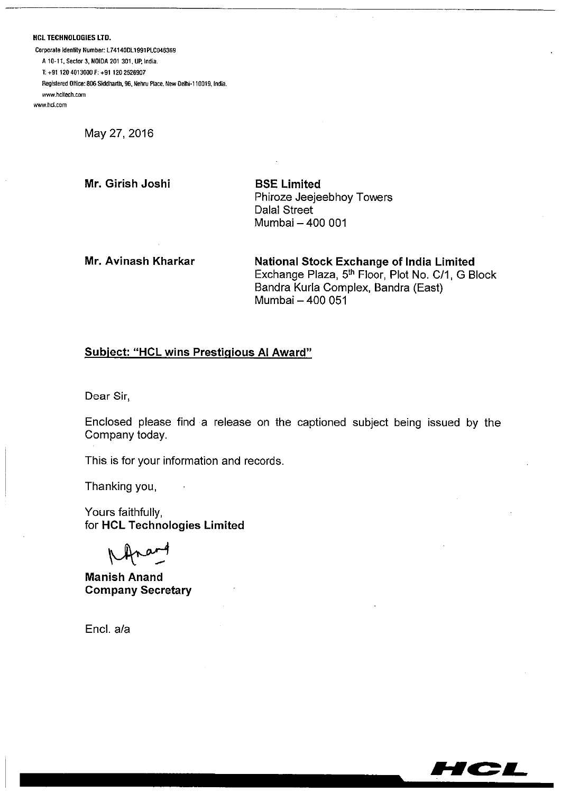**HCL TECHNOLOGIES LTD.** 

Corporate Identity Number: L74140DL1991PLC046369 A 10-11, Sector 3, NOIDA 201 301, UP, India. T: +91 120 4013000 F: +91 120 2526907 Registered Office: 806 Siddharth, 96, Nehru Place, New Delhi-110019, India. www.holtech.com www.hcl.com

May 27, 2016

Mr. Girish Joshi

**BSE Limited** Phiroze Jeejeebhoy Towers **Dalal Street** Mumbai - 400 001

Mr. Avinash Kharkar

**National Stock Exchange of India Limited** Exchange Plaza, 5th Floor, Plot No. C/1, G Block Bandra Kurla Complex, Bandra (East) Mumbai - 400 051

## **Subject: "HCL wins Prestigious AI Award"**

Dear Sir,

Enclosed please find a release on the captioned subject being issued by the Company today.

This is for your information and records.

Thanking you,

Yours faithfully, for HCL Technologies Limited

**Manish Anand Company Secretary** 

Encl. a/a

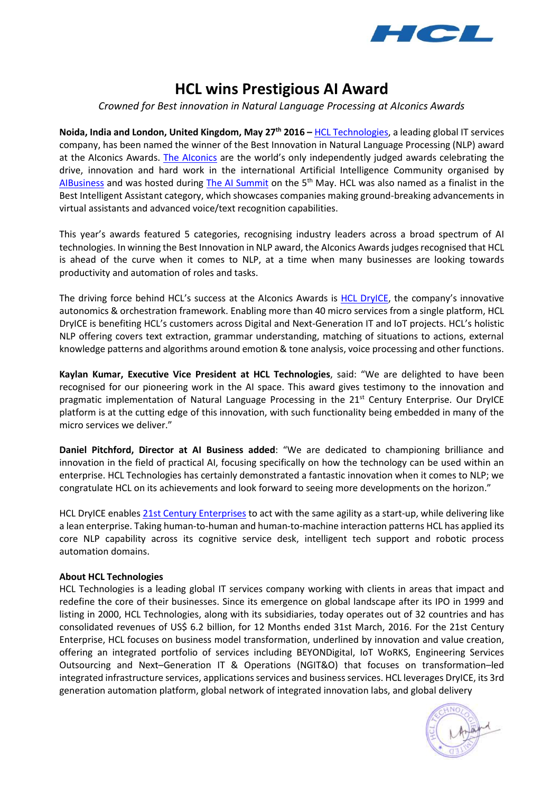

# **HCL wins Prestigious AI Award**

*Crowned for Best innovation in Natural Language Processing at AIconics Awards*

**Noida, India and London, United Kingdom, May 27th 2016 –** [HCL Technologies,](http://www.hcltech.com/) a leading global IT services company, has been named the winner of the Best Innovation in Natural Language Processing (NLP) award at the AIconics Awards. [The AIconics](http://theaiconics.com/) are the world's only independently judged awards celebrating the drive, innovation and hard work in the international Artificial Intelligence Community organised by [AIBusiness](http://aibusiness.org/) and was hosted during [The AI Summit](http://theaisummit.com/) on the 5<sup>th</sup> May. HCL was also named as a finalist in the Best Intelligent Assistant category, which showcases companies making ground-breaking advancements in virtual assistants and advanced voice/text recognition capabilities.

This year's awards featured 5 categories, recognising industry leaders across a broad spectrum of AI technologies. In winning the Best Innovation in NLP award, the AIconics Awards judges recognised that HCL is ahead of the curve when it comes to NLP, at a time when many businesses are looking towards productivity and automation of roles and tasks.

The driving force behind HCL's success at the AIconics Awards is [HCL DryICE](http://www.hcltech.com/it-infrastructure-management/automation_and_orchestration), the company's innovative autonomics & orchestration framework. Enabling more than 40 micro services from a single platform, HCL DryICE is benefiting HCL's customers across Digital and Next-Generation IT and IoT projects. HCL's holistic NLP offering covers text extraction, grammar understanding, matching of situations to actions, external knowledge patterns and algorithms around emotion & tone analysis, voice processing and other functions.

**Kaylan Kumar, Executive Vice President at HCL Technologies**, said: "We are delighted to have been recognised for our pioneering work in the AI space. This award gives testimony to the innovation and pragmatic implementation of Natural Language Processing in the 21<sup>st</sup> Century Enterprise. Our DryICE platform is at the cutting edge of this innovation, with such functionality being embedded in many of the micro services we deliver."

**Daniel Pitchford, Director at AI Business added**: "We are dedicated to championing brilliance and innovation in the field of practical AI, focusing specifically on how the technology can be used within an enterprise. HCL Technologies has certainly demonstrated a fantastic innovation when it comes to NLP; we congratulate HCL on its achievements and look forward to seeing more developments on the horizon."

HCL DryICE enables 21st [Century Enterprises](http://www.hcltech.com/21st-century-enterprise/) to act with the same agility as a start-up, while delivering like a lean enterprise. Taking human-to-human and human-to-machine interaction patterns HCL has applied its core NLP capability across its cognitive service desk, intelligent tech support and robotic process automation domains.

### **About HCL Technologies**

HCL Technologies is a leading global IT services company working with clients in areas that impact and redefine the core of their businesses. Since its emergence on global landscape after its IPO in 1999 and listing in 2000, HCL Technologies, along with its subsidiaries, today operates out of 32 countries and has consolidated revenues of US\$ 6.2 billion, for 12 Months ended 31st March, 2016. For the 21st Century Enterprise, HCL focuses on business model transformation, underlined by innovation and value creation, offering an integrated portfolio of services including BEYONDigital, IoT WoRKS, Engineering Services Outsourcing and Next–Generation IT & Operations (NGIT&O) that focuses on transformation–led integrated infrastructure services, applications services and business services. HCL leverages DryICE, its 3rd generation automation platform, global network of integrated innovation labs, and global delivery